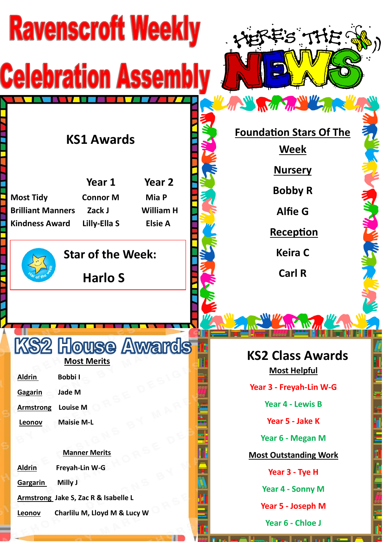| <b>Ravenscroft Weekly</b>                                                                                                                                                                        | FS THE!                                                                                 |
|--------------------------------------------------------------------------------------------------------------------------------------------------------------------------------------------------|-----------------------------------------------------------------------------------------|
| <b>Celebration Assemb</b>                                                                                                                                                                        | ANY REAL PROPERTY AND MICH                                                              |
| <b>KS1 Awards</b>                                                                                                                                                                                | <b>Foundation Stars Of The</b><br><b>Week</b><br><b>Nursery</b>                         |
| Year 1<br>Year <sub>2</sub><br>Mia P<br><b>Most Tidy</b><br><b>Connor M</b><br><b>Brilliant Manners</b><br>Zack J<br><b>William H</b><br>Lilly-Ella S<br><b>Elsie A</b><br><b>Kindness Award</b> | <b>Bobby R</b><br><b>Alfie G</b><br><u>Reception</u>                                    |
| <b>Star of the Week:</b><br><b>Harlo S</b>                                                                                                                                                       | <b>Keira C</b><br><b>Carl R</b>                                                         |
|                                                                                                                                                                                                  | No And My                                                                               |
| <b>KS2 House Awards</b><br><b>Most Merits</b><br><b>Aldrin</b><br><b>Bobbil</b><br>Gagarin<br>Jade M                                                                                             | <b>KS2 Class Awards</b><br><b>Most Helpful</b><br>Year 3 - Freyah-Lin W-G               |
| <b>Louise M</b><br><b>Armstrong</b><br><b>Maisie M-L</b><br>Leonov<br><b>Manner Merits</b>                                                                                                       | Year 4 - Lewis B<br>Year 5 - Jake K<br>Year 6 - Megan M<br><b>Most Outstanding Work</b> |
| Freyah-Lin W-G<br><b>Aldrin</b><br>Milly J<br>Gargarin<br>Armstrong Jake S, Zac R & Isabelle L<br>Charlilu M, Lloyd M & Lucy W<br>Leonov                                                         | Year 3 - Tye H<br>Year 4 - Sonny M<br>Year 5 - Joseph M<br>Year 6 - Chloe J             |